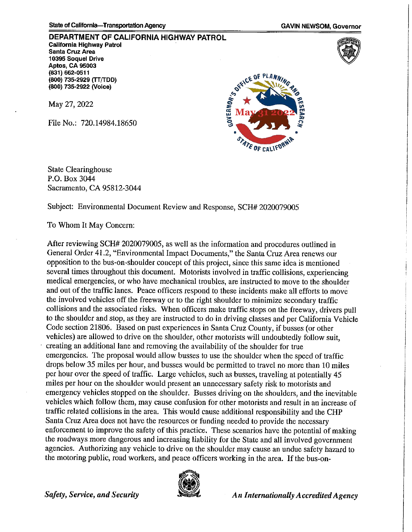**DEPARTMENT OF CALIFORNIA HIGHWAY PATROL California Highway Patrol Santa Cruz Area 10395 Soquel Drive Aptos, CA 95003 (831)** 662-0511 **(800) 735-2929** (TT(rDD) **(800) 735-2922 (Voice)** 

May 27, 2022

File No.: 720.14984.18650



State Clearinghouse P.O. Box 3044 Sacramento, CA 95812-3044

Subject: Environmental Document Review and Response, SCH# 2020079005

To Whom It May Concern:

After reviewing SCH# 2020079005, as well as the information and procedures outlined in General Order 41.2, "Environmental Impact Documents," the Santa Cruz Area renews our opposition to the bus-on-shoulder concept of this project, since this same idea is mentioned several times throughout this document. Motorists involved in traffic collisions, experiencing medical emergencies, or who have mechanical troubles, are instructed to move to the shoulder and out of the traffic lanes. Peace officers respond to these incidents make all efforts to move the involved vehicles off the freeway or to the right shoulder to minimize secondary traffic collisions and the associated risks. When officers make traffic stops on the freeway, drivers pull to the shoulder and stop, as they are instructed to do in driving classes and per California Vehicle Code section 21806. Based on past experiences in Santa Cruz County, if busses (or other vehicles) are allowed to drive on the shoulder, other motorists will undoubtedly follow suit, creating an additional lane and removing the availability of the shoulder for true emergencies. The proposal would allow busses to use the shoulder when the speed of traffic drops below 35 miles per hour, and busses would be permitted to travel no more than 10 miles per hour over the speed of traffic. Large vehicles, such as busses, traveling at potentially 45 miles per hour on the shoulder would present an unnecessary safety risk to motorists and emergency vehicles stopped on the shoulder. Busses driving on the shoulders, and the inevitable vehicles which follow them, may cause confusion for other motorists and result in an increase of traffic related collisions in the area. This would cause additional responsibility and the CHP Santa Cruz Area does not have the resources or funding needed to provide the necessary enforcement to improve the safety of this practice. These scenarios have the potential of making the roadways more dangerous and increasing liability for the State and all involved government agencies. Authorizing any vehicle to drive on the shoulder may cause an undue safety hazard to the motoring public, road workers, and peace officers working in the area. If the bus-on-



*Safety, Service, and Security An Internationally Accredited Agency <i>An Internationally Accredited Agency*